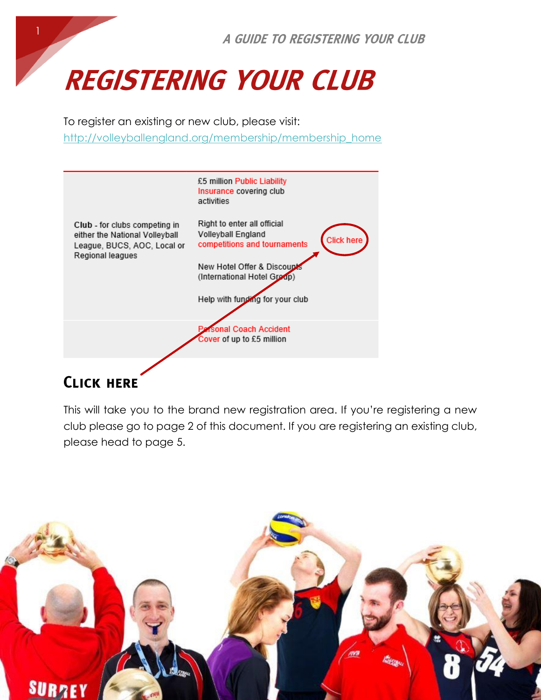

# **REGISTERING YOUR CLUB**

To register an existing or new club, please visit:

[http://volleyballengland.org/membership/membership\\_home](http://volleyballengland.org/membership/membership_home)



## **CLICK HERE**

This will take you to the brand new registration area. If you're registering a new club please go to page 2 of this document. If you are registering an existing club, please head to page 5.

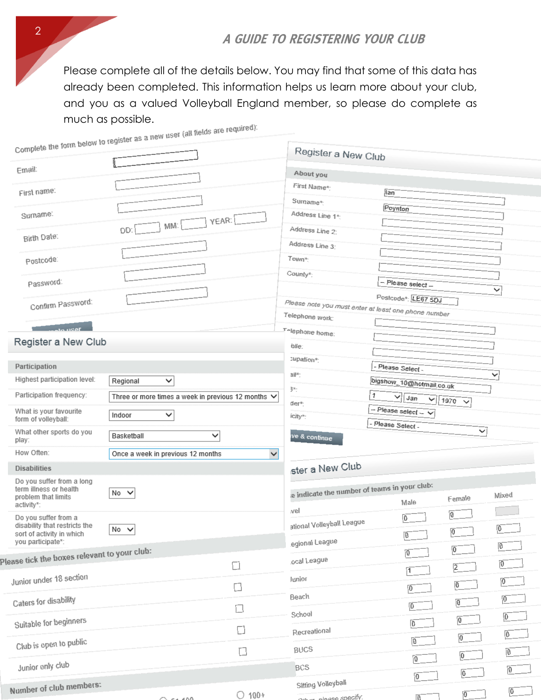### A GUIDE TO REGISTERING YOUR CLUB

Please complete all of the details below. You may find that some of this data has already been completed. This information helps us learn more about your club, and you as a valued Volleyball England member, so please do complete as much as possible. c are required):

|                                                            | Complete the form below to register as a new user you need to be complete. |                 |                                                           |                           |                         |                |  |  |  |
|------------------------------------------------------------|----------------------------------------------------------------------------|-----------------|-----------------------------------------------------------|---------------------------|-------------------------|----------------|--|--|--|
|                                                            |                                                                            |                 | Register a New Club                                       |                           |                         |                |  |  |  |
| Email:                                                     |                                                                            |                 | About you                                                 |                           |                         |                |  |  |  |
| First name:                                                |                                                                            |                 | First Name*:                                              | lan                       |                         |                |  |  |  |
|                                                            |                                                                            |                 | Surname*:                                                 |                           |                         |                |  |  |  |
| Surname:                                                   | YEAR:                                                                      |                 | Address Line 1*:                                          | Poynton                   |                         |                |  |  |  |
|                                                            | MM:<br>DD:                                                                 |                 | Address Line 2:                                           |                           |                         |                |  |  |  |
| Birth Date:                                                |                                                                            |                 | Address Line 3:                                           |                           |                         |                |  |  |  |
| Postcode:                                                  |                                                                            |                 | Town*:                                                    |                           |                         |                |  |  |  |
|                                                            |                                                                            |                 | County <sup>*</sup> :                                     |                           |                         |                |  |  |  |
| Password:                                                  |                                                                            |                 |                                                           | -- Please select --       |                         | ◡              |  |  |  |
| Confirm Password:                                          |                                                                            |                 | Please note you must enter at least one phone number      | Postcode*: LE67 5DJ       |                         |                |  |  |  |
|                                                            |                                                                            |                 | Telephone work:                                           |                           |                         |                |  |  |  |
| $1920$ ato $1920$                                          |                                                                            |                 | Telephone home:                                           |                           |                         |                |  |  |  |
| Register a New Club                                        |                                                                            |                 | bile:                                                     |                           |                         |                |  |  |  |
| Participation                                              |                                                                            |                 | :upation*:                                                | - Please Select -         |                         |                |  |  |  |
| Highest participation level:                               | $\checkmark$<br>Regional                                                   |                 | ail*:                                                     | bigshow_10@hotmail.co.uk  |                         | ◡              |  |  |  |
| Participation frequency:                                   | Three or more times a week in previous 12 months $\vee$                    |                 | 3*:<br>$\mathbf{1}$<br>∽<br>Jan<br>$\checkmark$<br>1970 ↓ |                           |                         |                |  |  |  |
| What is your favourite                                     |                                                                            |                 | der*:                                                     | $-$ Please select $ \vee$ |                         |                |  |  |  |
| form of volleyball:                                        | Indoor<br>✓                                                                |                 | icity*:                                                   | - Please Select -         |                         |                |  |  |  |
| What other sports do you<br>play:                          | Basketball<br>$\checkmark$                                                 |                 | ve & continue                                             |                           | $\check{ }$             |                |  |  |  |
| How Often:                                                 | Once a week in previous 12 months                                          | $\vee$          |                                                           |                           |                         |                |  |  |  |
| <b>Disabilities</b>                                        |                                                                            |                 | ster a New Club                                           |                           |                         |                |  |  |  |
| Do you suffer from a long<br>term illness or health        |                                                                            |                 |                                                           |                           |                         |                |  |  |  |
| problem that limits                                        | No V                                                                       |                 | e indicate the number of teams in your club:              | Male                      | Female                  | Mixed          |  |  |  |
| activity*:<br>Do you suffer from a                         |                                                                            |                 | wel                                                       | $\overline{\mathbf{0}}$   | $\overline{0}$          |                |  |  |  |
| disability that restricts the<br>sort of activity in which | $No \vee$                                                                  |                 | ational Volleyball League                                 |                           | $\overline{0}$          | $\overline{0}$ |  |  |  |
| you participate*:                                          |                                                                            |                 | egional League                                            | $\overline{0}$            |                         | $\overline{0}$ |  |  |  |
| ease tick the boxes relevant to your club:                 |                                                                            |                 | ocal League                                               | $\overline{0}$            | $\overline{0}$          |                |  |  |  |
|                                                            |                                                                            | $\Box$          |                                                           | $\vert$ 1                 | $\overline{2}$          | $\overline{0}$ |  |  |  |
| Junior under 18 section                                    |                                                                            | $\Box$          | lunior                                                    | $\vert 0 \vert$           | $\vert 0 \vert$         | $\overline{0}$ |  |  |  |
| Caters for disability                                      |                                                                            | $\Box$          | Beach                                                     | $\overline{0}$            | $\overline{0}$          | $\overline{0}$ |  |  |  |
| Suitable for beginners                                     |                                                                            |                 | School                                                    |                           | $\overline{0}$          | $\overline{0}$ |  |  |  |
|                                                            |                                                                            | $\Box$          | Recreational                                              | $\vert 0 \vert$           | $\boxed{0}$             | $\overline{0}$ |  |  |  |
| Club is open to public                                     |                                                                            | $\Box$          | <b>BUCS</b>                                               | $\overline{0}$            |                         | $\overline{0}$ |  |  |  |
| Junior only club                                           |                                                                            |                 | <b>BCS</b>                                                | $\boxed{0}$               | $\vert 0 \vert$         |                |  |  |  |
|                                                            |                                                                            |                 |                                                           | $\overline{0}$            | $\overline{0}$          | $\mathbf{0}$   |  |  |  |
| Number of club members:                                    | $F = 400$                                                                  | $\bigcirc$ 100+ | <b>Sitting Volleyball</b><br>Other please specify.        | $\overline{0}$            | $\overline{\mathbf{0}}$ | $\mathbf{0}$   |  |  |  |

2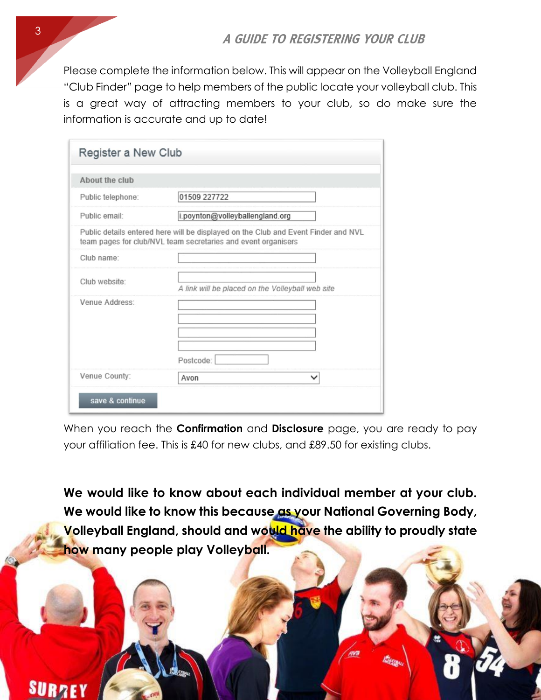Please complete the information below. This will appear on the Volleyball England "Club Finder" page to help members of the public locate your volleyball club. This is a great way of attracting members to your club, so do make sure the information is accurate and up to date!

| About the club    |                                                                                                                                                     |
|-------------------|-----------------------------------------------------------------------------------------------------------------------------------------------------|
| Public telephone: | 01509 227722                                                                                                                                        |
| Public email:     | i.poynton@volleyballengland.org                                                                                                                     |
|                   | Public details entered here will be displayed on the Club and Event Finder and NVL<br>team pages for club/NVL team secretaries and event organisers |
| Club name:        |                                                                                                                                                     |
| Club website:     | A link will be placed on the Volleyball web site                                                                                                    |
| Venue Address:    | Postcode:                                                                                                                                           |
|                   |                                                                                                                                                     |

When you reach the **Confirmation** and **Disclosure** page, you are ready to pay your affiliation fee. This is £40 for new clubs, and £89.50 for existing clubs.

**We would like to know about each individual member at your club. We would like to know this because as your National Governing Body, Volleyball England, should and would have the ability to proudly state how many people play Volleyball.** 



**SURRE**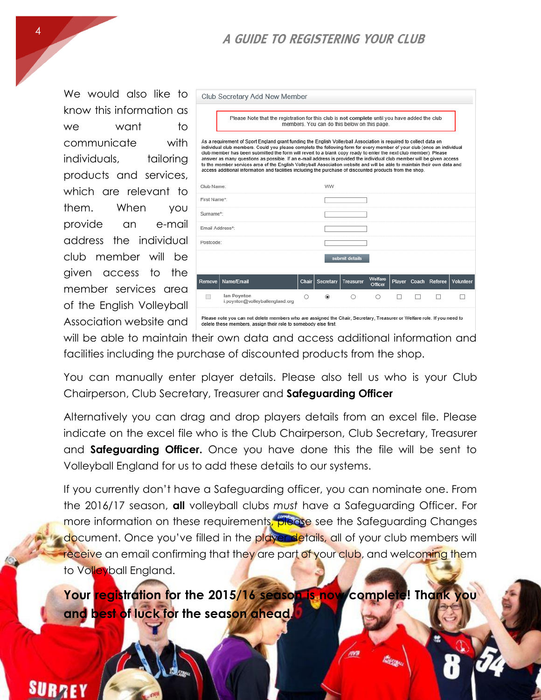### A GUIDE TO REGISTERING YOUR CLUB

We would also like to know this information as we want to communicate with individuals, tailoring products and services, which are relevant to them. When you provide an e-mail address the individual club member will be given access to the member services area of the English Volleyball Association website and

|                                                                                                                                                                                                                                                                                                                                                                                                                                                                                                                                                                                                                                                                                                                                      | Club Secretary Add New Member                                                                                                                                                              |       |           |                  |                    |   |  |                      |           |
|--------------------------------------------------------------------------------------------------------------------------------------------------------------------------------------------------------------------------------------------------------------------------------------------------------------------------------------------------------------------------------------------------------------------------------------------------------------------------------------------------------------------------------------------------------------------------------------------------------------------------------------------------------------------------------------------------------------------------------------|--------------------------------------------------------------------------------------------------------------------------------------------------------------------------------------------|-------|-----------|------------------|--------------------|---|--|----------------------|-----------|
|                                                                                                                                                                                                                                                                                                                                                                                                                                                                                                                                                                                                                                                                                                                                      | Please Note that the registration for this club is not complete until you have added the club<br>members. You can do this below on this page.                                              |       |           |                  |                    |   |  |                      |           |
| As a requirement of Sport England grant funding the English Volleyball Association is required to collect data on<br>individual club members. Could you please complete the following form for every member of your club (once an individual<br>club member has been submitted the form will revert to a blank copy ready to enter the next club member). Please<br>answer as many questions as possible. If an e-mail address is provided the individual club member will be given access<br>to the member services area of the English Volleyball Association website and will be able to maintain their own data and<br>access additional information and facilities including the purchase of discounted products from the shop. |                                                                                                                                                                                            |       |           |                  |                    |   |  |                      |           |
| Club Name:                                                                                                                                                                                                                                                                                                                                                                                                                                                                                                                                                                                                                                                                                                                           |                                                                                                                                                                                            |       | ww        |                  |                    |   |  |                      |           |
| First Name*                                                                                                                                                                                                                                                                                                                                                                                                                                                                                                                                                                                                                                                                                                                          |                                                                                                                                                                                            |       |           |                  |                    |   |  |                      |           |
| Surname*:                                                                                                                                                                                                                                                                                                                                                                                                                                                                                                                                                                                                                                                                                                                            |                                                                                                                                                                                            |       |           |                  |                    |   |  |                      |           |
| Email Address*:                                                                                                                                                                                                                                                                                                                                                                                                                                                                                                                                                                                                                                                                                                                      |                                                                                                                                                                                            |       |           |                  |                    |   |  |                      |           |
| Postcode:                                                                                                                                                                                                                                                                                                                                                                                                                                                                                                                                                                                                                                                                                                                            |                                                                                                                                                                                            |       |           |                  |                    |   |  |                      |           |
|                                                                                                                                                                                                                                                                                                                                                                                                                                                                                                                                                                                                                                                                                                                                      |                                                                                                                                                                                            |       |           | submit details   |                    |   |  |                      |           |
| Remove                                                                                                                                                                                                                                                                                                                                                                                                                                                                                                                                                                                                                                                                                                                               | Name/Email                                                                                                                                                                                 | Chair | Secretary | <b>Treasurer</b> | Welfare<br>Officer |   |  | Player Coach Referee | Volunteer |
|                                                                                                                                                                                                                                                                                                                                                                                                                                                                                                                                                                                                                                                                                                                                      | lan Povnton<br>i.poynton@volleyballengland.org                                                                                                                                             | ∩     | ◉         | ∩                | O                  | п |  |                      |           |
|                                                                                                                                                                                                                                                                                                                                                                                                                                                                                                                                                                                                                                                                                                                                      | Please note you can not delete members who are assigned the Chair, Secretary, Treasurer or Welfare role. If you need to<br>delete these members, assign their role to somebody else first. |       |           |                  |                    |   |  |                      |           |

will be able to maintain their own data and access additional information and facilities including the purchase of discounted products from the shop.

You can manually enter player details. Please also tell us who is your Club Chairperson, Club Secretary, Treasurer and **Safeguarding Officer**

Alternatively you can drag and drop players details from an excel file. Please indicate on the excel file who is the Club Chairperson, Club Secretary, Treasurer and **Safeguarding Officer.** Once you have done this the file will be sent to Volleyball England for us to add these details to our systems.

If you currently don't have a Safeguarding officer, you can nominate one. From the 2016/17 season, **all** volleyball clubs *must* have a Safeguarding Officer. For more information on these requirements, please see the Safeguarding Changes document. Once you've filled in the playendetails, all of your club members will receive an email confirming that they are part of your club, and welcoming them to Volleyball England.

**Your registration for the 2015/16 season is now complete! Thank you and best of luck for the season ahead.**

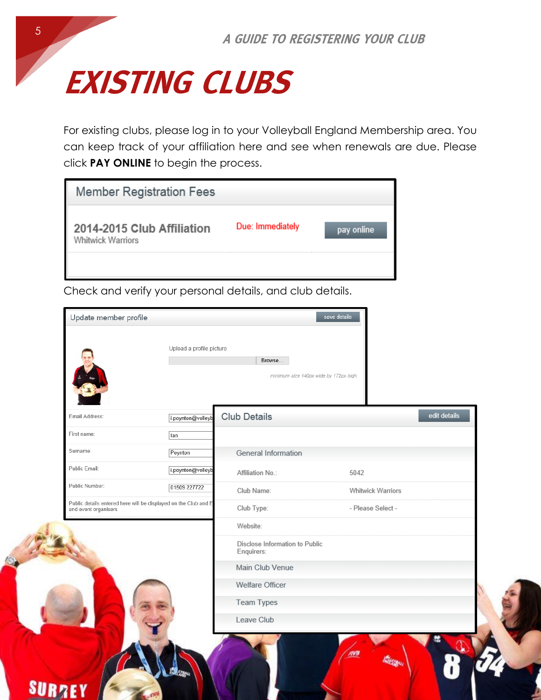

For existing clubs, please log in to your Volleyball England Membership area. You can keep track of your affiliation here and see when renewals are due. Please click **PAY ONLINE** to begin the process.

| <b>Member Registration Fees</b>                 |                  |       |
|-------------------------------------------------|------------------|-------|
| 2014-2015 Club Affiliation<br>Whitwick Warriors | Due: Immediately | nline |
|                                                 |                  |       |

Check and verify your personal details, and club details.

|                                                                                         | Upload a profile picture | Browse                                       | minimum size 140px wide by 172px high |              |
|-----------------------------------------------------------------------------------------|--------------------------|----------------------------------------------|---------------------------------------|--------------|
| Email Address:                                                                          | i.poynton@volleyb        | <b>Club Details</b>                          |                                       | edit details |
| First name:                                                                             | lan                      |                                              |                                       |              |
| Surname:                                                                                | Poynton                  | General Information                          |                                       |              |
| Public Email:                                                                           | i.poynton@volleyb        | Affiliation No.:                             | 5042                                  |              |
| Public Number:                                                                          | 01509 227722             | Club Name:                                   | Whitwick Warriors                     |              |
| Public details entered here will be displayed on the Club and E<br>and event organisers |                          | Club Type:                                   | - Please Select -                     |              |
|                                                                                         |                          | Website:                                     |                                       |              |
|                                                                                         |                          | Disclose Information to Public<br>Enquirers: |                                       |              |
|                                                                                         |                          | Main Club Venue                              |                                       |              |
|                                                                                         |                          | Welfare Officer                              |                                       |              |
|                                                                                         |                          | <b>Team Types</b>                            |                                       |              |
|                                                                                         |                          | Leave Club                                   |                                       |              |
|                                                                                         |                          |                                              |                                       |              |

SI